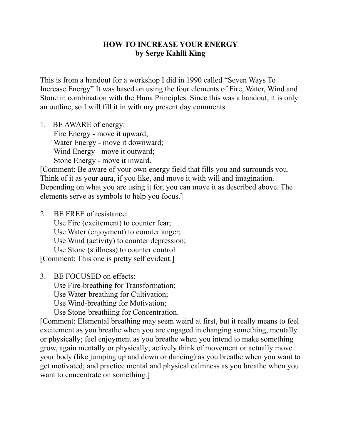## **HOW TO INCREASE YOUR ENERGY by Serge Kahili King**

This is from a handout for a workshop I did in 1990 called "Seven Ways To Increase Energy" It was based on using the four elements of Fire, Water, Wind and Stone in combination with the Huna Principles. Since this was a handout, it is only an outline, so I will fill it in with my present day comments.

1. BE AWARE of energy:

 Fire Energy - move it upward; Water Energy - move it downward; Wind Energy - move it outward; Stone Energy - move it inward.

[Comment: Be aware of your own energy field that fills you and surrounds you. Think of it as your aura, if you like, and move it with will and imagination. Depending on what you are using it for, you can move it as described above. The elements serve as symbols to help you focus.]

- 2. BE FREE of resistance: Use Fire (excitement) to counter fear; Use Water (enjoyment) to counter anger; Use Wind (activity) to counter depression; Use Stone (stillness) to counter control. [Comment: This one is pretty self evident.]
- 3. BE FOCUSED on effects:

Use Fire-breathing for Transformation;

Use Water-breathing for Cultivation;

Use Wind-breathing for Motivation;

Use Stone-breathiing for Concentration.

[Comment: Elemental breathing may seem weird at first, but it really means to feel excitement as you breathe when you are engaged in changing something, mentally or physically; feel enjoyment as you breathe when you intend to make something grow, again mentally or physically; actively think of movement or actually move your body (like jumping up and down or dancing) as you breathe when you want to get motivated; and practice mental and physical calmness as you breathe when you want to concentrate on something.]